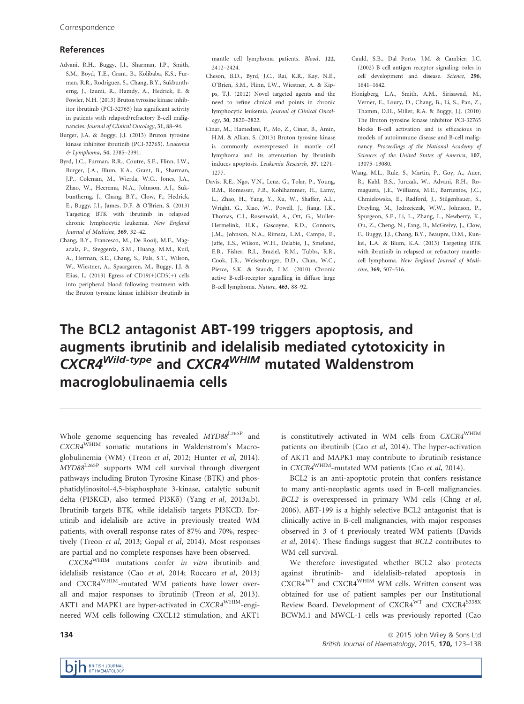## References

- Advani, R.H., Buggy, J.J., Sharman, J.P., Smith, S.M., Boyd, T.E., Grant, B., Kolibaba, K.S., Furman, R.R., Rodriguez, S., Chang, B.Y., Sukbuntherng, J., Izumi, R., Hamdy, A., Hedrick, E. & Fowler, N.H. (2013) Bruton tyrosine kinase inhibitor ibrutinib (PCI-32765) has significant activity in patients with relapsed/refractory B-cell malignancies. Journal of Clinical Oncology, 31, 88–94.
- Burger, J.A. & Buggy, J.J. (2013) Bruton tyrosine kinase inhibitor ibrutinib (PCI-32765). Leukemia & Lymphoma, 54, 2385–2391.
- Byrd, J.C., Furman, R.R., Coutre, S.E., Flinn, I.W., Burger, J.A., Blum, K.A., Grant, B., Sharman, J.P., Coleman, M., Wierda, W.G., Jones, J.A., Zhao, W., Heerema, N.A., Johnson, A.J., Sukbuntherng, J., Chang, B.Y., Clow, F., Hedrick, E., Buggy, J.J., James, D.F. & O'Brien, S. (2013) Targeting BTK with ibrutinib in relapsed chronic lymphocytic leukemia. New England Journal of Medicine, 369, 32–42.
- Chang, B.Y., Francesco, M., De Rooij, M.F., Magadala, P., Steggerda, S.M., Huang, M.M., Kuil, A., Herman, S.E., Chang, S., Pals, S.T., Wilson, W., Wiestner, A., Spaargaren, M., Buggy, J.J. & Elias, L. (2013) Egress of  $CD19(+)CD5(+)$  cells into peripheral blood following treatment with the Bruton tyrosine kinase inhibitor ibrutinib in

mantle cell lymphoma patients. Blood, 122, 2412–2424.

- Cheson, B.D., Byrd, J.C., Rai, K.R., Kay, N.E., O'Brien, S.M., Flinn, I.W., Wiestner, A. & Kipps, T.J. (2012) Novel targeted agents and the need to refine clinical end points in chronic lymphocytic leukemia. Journal of Clinical Oncology, 30, 2820–2822.
- Cinar, M., Hamedani, F., Mo, Z., Cinar, B., Amin, H.M. & Alkan, S. (2013) Bruton tyrosine kinase is commonly overexpressed in mantle cell lymphoma and its attenuation by Ibrutinib induces apoptosis. Leukemia Research, 37, 1271– 1277.
- Davis, R.E., Ngo, V.N., Lenz, G., Tolar, P., Young, R.M., Romesser, P.B., Kohlhammer, H., Lamy, L., Zhao, H., Yang, Y., Xu, W., Shaffer, A.L., Wright, G., Xiao, W., Powell, J., Jiang, J.K., Thomas, C.J., Rosenwald, A., Ott, G., Muller-Hermelink, H.K., Gascoyne, R.D., Connors, J.M., Johnson, N.A., Rimsza, L.M., Campo, E., Jaffe, E.S., Wilson, W.H., Delabie, J., Smeland, E.B., Fisher, R.I., Braziel, R.M., Tubbs, R.R., Cook, J.R., Weisenburger, D.D., Chan, W.C., Pierce, S.K. & Staudt, L.M. (2010) Chronic active B-cell-receptor signalling in diffuse large B-cell lymphoma. Nature, 463, 88–92.
- Gauld, S.B., Dal Porto, J.M. & Cambier, J.C. (2002) B cell antigen receptor signaling: roles in cell development and disease. Science, 296, 1641–1642.
- Honigberg, L.A., Smith, A.M., Sirisawad, M., Verner, E., Loury, D., Chang, B., Li, S., Pan, Z., Thamm, D.H., Miller, R.A. & Buggy, J.J. (2010) The Bruton tyrosine kinase inhibitor PCI-32765 blocks B-cell activation and is efficacious in models of autoimmune disease and B-cell malignancy. Proceedings of the National Academy of Sciences of the United States of America, 107, 13075–13080.
- Wang, M.L., Rule, S., Martin, P., Goy, A., Auer, R., Kahl, B.S., Jurczak, W., Advani, R.H., Romaguera, J.E., Williams, M.E., Barrientos, J.C., Chmielowska, E., Radford, J., Stilgenbauer, S., Dreyling, M., Jedrzejczak, W.W., Johnson, P., Spurgeon, S.E., Li, L., Zhang, L., Newberry, K., Ou, Z., Cheng, N., Fang, B., McGreivy, J., Clow, F., Buggy, J.J., Chang, B.Y., Beaupre, D.M., Kunkel, L.A. & Blum, K.A. (2013) Targeting BTK with ibrutinib in relapsed or refractory mantlecell lymphoma. New England Journal of Medicine, 369, 507–516.

# The BCL2 antagonist ABT-199 triggers apoptosis, and augments ibrutinib and idelalisib mediated cytotoxicity in CXCR4<sup>Wild-type</sup> and CXCR4<sup>WHIM</sup> mutated Waldenstrom macroglobulinaemia cells

Whole genome sequencing has revealed MYD88<sup>L265P</sup> and CXCR4WHIM somatic mutations in Waldenstrom's Macroglobulinemia (WM) (Treon et al, 2012; Hunter et al, 2014). MYD88L265P supports WM cell survival through divergent pathways including Bruton Tyrosine Kinase (BTK) and phosphatidylinositol-4,5-bisphosphate 3-kinase, catalytic subunit delta (PI3KCD, also termed PI3K $\delta$ ) (Yang et al, 2013a,b). Ibrutinib targets BTK, while idelalisib targets PI3KCD. Ibrutinib and idelalisib are active in previously treated WM patients, with overall response rates of 87% and 70%, respectively (Treon et al, 2013; Gopal et al, 2014). Most responses are partial and no complete responses have been observed.

CXCR4WHIM mutations confer in vitro ibrutinib and idelalisib resistance (Cao et al, 2014; Roccaro et al, 2013) and CXCR4WHIM-mutated WM patients have lower overall and major responses to ibrutinib (Treon et al, 2013). AKT1 and MAPK1 are hyper-activated in CXCR4WHIM-engineered WM cells following CXCL12 stimulation, and AKT1

is constitutively activated in WM cells from CXCR4WHIM patients on ibrutinib (Cao et al, 2014). The hyper-activation of AKT1 and MAPK1 may contribute to ibrutinib resistance in CXCR4WHIM-mutated WM patients (Cao et al, 2014).

BCL2 is an anti-apoptotic protein that confers resistance to many anti-neoplastic agents used in B-cell malignancies. BCL2 is overexpressed in primary WM cells (Chng et al, 2006). ABT-199 is a highly selective BCL2 antagonist that is clinically active in B-cell malignancies, with major responses observed in 3 of 4 previously treated WM patients (Davids et al, 2014). These findings suggest that BCL2 contributes to WM cell survival.

We therefore investigated whether BCL2 also protects against ibrutinib- and idelalisib-related apoptosis in CXCR4WT and CXCR4WHIM WM cells. Written consent was obtained for use of patient samples per our Institutional Review Board. Development of CXCR4<sup>WT</sup> and CXCR4<sup>S338X</sup> BCWM.1 and MWCL-1 cells was previously reported (Cao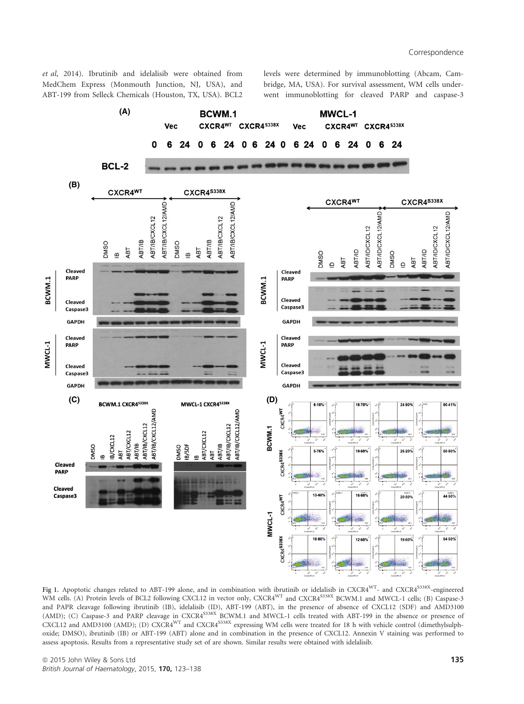et al, 2014). Ibrutinib and idelalisib were obtained from MedChem Express (Monmouth Junction, NJ, USA), and ABT-199 from Selleck Chemicals (Houston, TX, USA). BCL2 levels were determined by immunoblotting (Abcam, Cambridge, MA, USA). For survival assessment, WM cells underwent immunoblotting for cleaved PARP and caspase-3



Fig 1. Apoptotic changes related to ABT-199 alone, and in combination with ibrutinib or idelalisib in CXCR4<sup>WT</sup>- and CXCR4<sup>S338X</sup>-engineered WM cells. (A) Protein levels of BCL2 following CXCL12 in vector only, CXCR4<sup>WT</sup> and CXCR4<sup>S338X</sup> BCWM.1 and MWCL-1 cells; (B) Caspase-3 and PAPR cleavage following ibrutinib (IB), idelalisib (ID), ABT-199 (ABT), in the presence of absence of CXCL12 (SDF) and AMD3100 (AMD); (C) Caspase-3 and PARP cleavage in CXCR4<sup>S38X</sup> BCWM.1 and MWCL-1 cells treated with ABT-199 in the absence or presence of CXCL12 and AMD3100 (AMD); (D) CXCR4<sup>WT</sup> and CXCR4<sup>S338X</sup> expressing WM cells were treated for 18 h with vehicle control (dimethylsulphoxide; DMSO), ibrutinib (IB) or ABT-199 (ABT) alone and in combination in the presence of CXCL12. Annexin V staining was performed to assess apoptosis. Results from a representative study set of are shown. Similar results were obtained with idelalisib.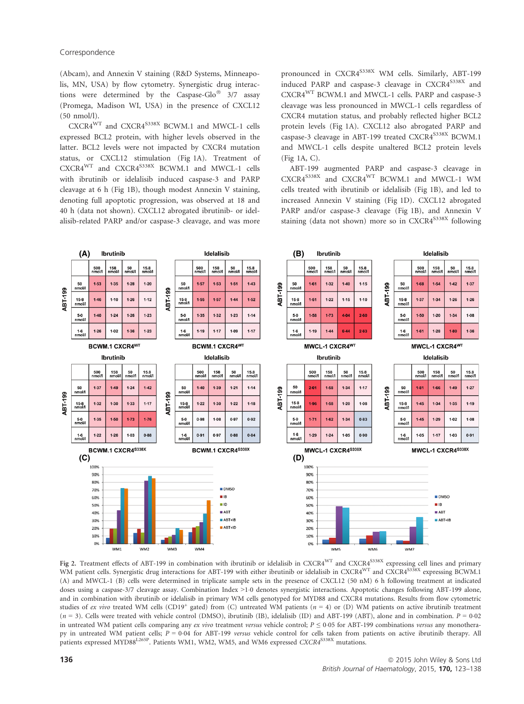(Abcam), and Annexin V staining (R&D Systems, Minneapolis, MN, USA) by flow cytometry. Synergistic drug interactions were determined by the Caspase-Glo<sup>®</sup> 3/7 assay (Promega, Madison WI, USA) in the presence of CXCL12 (50 nmol/l).

 $CXCR4^{WT}$  and  $CXCR4^{S338X}$  BCWM.1 and MWCL-1 cells expressed BCL2 protein, with higher levels observed in the latter. BCL2 levels were not impacted by CXCR4 mutation status, or CXCL12 stimulation (Fig 1A). Treatment of CXCR4<sup>WT</sup> and CXCR4<sup>S338X</sup> BCWM.1 and MWCL-1 cells with ibrutinib or idelalisib induced caspase-3 and PARP cleavage at 6 h (Fig 1B), though modest Annexin V staining, denoting full apoptotic progression, was observed at 18 and 40 h (data not shown). CXCL12 abrogated ibrutinib- or idelalisib-related PARP and/or caspase-3 cleavage, and was more

pronounced in CXCR4<sup>S338X</sup> WM cells. Similarly, ABT-199 induced PARP and caspase-3 cleavage in CXCR4<sup>S338X</sup> and CXCR4WT BCWM.1 and MWCL-1 cells. PARP and caspase-3 cleavage was less pronounced in MWCL-1 cells regardless of CXCR4 mutation status, and probably reflected higher BCL2 protein levels (Fig 1A). CXCL12 also abrogated PARP and caspase-3 cleavage in ABT-199 treated CXCR4<sup>S338X</sup> BCWM.1 and MWCL-1 cells despite unaltered BCL2 protein levels (Fig 1A, C).

ABT-199 augmented PARP and caspase-3 cleavage in CXCR4S338X and CXCR4WT BCWM.1 and MWCL-1 WM cells treated with ibrutinib or idelalisib (Fig 1B), and led to increased Annexin V staining (Fig 1D). CXCL12 abrogated PARP and/or caspase-3 cleavage (Fig 1B), and Annexin V staining (data not shown) more so in  $CXCRA^{S338X}$  following



Fig 2. Treatment effects of ABT-199 in combination with ibrutinib or idelalisib in CXCR4WT and CXCR4S338X expressing cell lines and primary WM patient cells. Synergistic drug interactions for ABT-199 with either ibrutinib or idelalisib in CXCR4<sup>WT</sup> and CXCR4<sup>S338X</sup> expressing BCWM.1 (A) and MWCL-1 (B) cells were determined in triplicate sample sets in the presence of CXCL12 (50 nM) 6 h following treatment at indicated doses using a caspase-3/7 cleavage assay. Combination Index >10 denotes synergistic interactions. Apoptotic changes following ABT-199 alone, and in combination with ibrutinib or idelalisib in primary WM cells genotyped for MYD88 and CXCR4 mutations. Results from flow cytometric studies of ex vivo treated WM cells (CD19<sup>+</sup> gated) from (C) untreated WM patients ( $n = 4$ ) or (D) WM patients on active ibrutinib treatment  $(n = 3)$ . Cells were treated with vehicle control (DMSO), ibrutinib (IB), idelalisib (ID) and ABT-199 (ABT), alone and in combination.  $P = 0.02$ in untreated WM patient cells comparing any ex vivo treatment versus vehicle control;  $P \le 0.05$  for ABT-199 combinations versus any monotherapy in untreated WM patient cells;  $P = 0.04$  for ABT-199 versus vehicle control for cells taken from patients on active ibrutinib therapy. All patients expressed MYD88<sup>L265P</sup>. Patients WM1, WM2, WM5, and WM6 expressed CXCR4<sup>S338X</sup> mutations.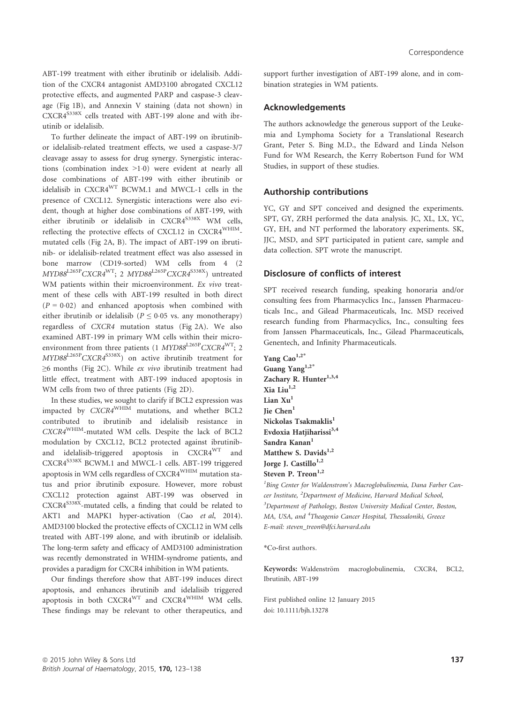ABT-199 treatment with either ibrutinib or idelalisib. Addition of the CXCR4 antagonist AMD3100 abrogated CXCL12 protective effects, and augmented PARP and caspase-3 cleavage (Fig 1B), and Annexin V staining (data not shown) in CXCR4<sup>S338X</sup> cells treated with ABT-199 alone and with ibrutinib or idelalisib.

To further delineate the impact of ABT-199 on ibrutinibor idelalisib-related treatment effects, we used a caspase-3/7 cleavage assay to assess for drug synergy. Synergistic interactions (combination index  $>1.0$ ) were evident at nearly all dose combinations of ABT-199 with either ibrutinib or idelalisib in CXCR4WT BCWM.1 and MWCL-1 cells in the presence of CXCL12. Synergistic interactions were also evident, though at higher dose combinations of ABT-199, with either ibrutinib or idelalisib in  $CXCRA^{S338X}$  WM cells, reflecting the protective effects of CXCL12 in CXCR4WHIMmutated cells (Fig 2A, B). The impact of ABT-199 on ibrutinib- or idelalisib-related treatment effect was also assessed in bone marrow (CD19-sorted) WM cells from 4 (2 MYD88<sup>L265P</sup>CXCR4<sup>WT</sup>; 2 MYD88<sup>L265P</sup>CXCR4<sup>S338X</sup>) untreated WM patients within their microenvironment. Ex vivo treatment of these cells with ABT-199 resulted in both direct  $(P = 0.02)$  and enhanced apoptosis when combined with either ibrutinib or idelalisib ( $P \le 0.05$  vs. any monotherapy) regardless of CXCR4 mutation status (Fig 2A). We also examined ABT-199 in primary WM cells within their microenvironment from three patients (1  $MYD88^{L265P}CXCR4^{WT};$  2 MYD88L265PCXCR4S338X) on active ibrutinib treatment for ≥6 months (Fig 2C). While ex vivo ibrutinib treatment had little effect, treatment with ABT-199 induced apoptosis in WM cells from two of three patients (Fig 2D).

In these studies, we sought to clarify if BCL2 expression was impacted by CXCR4WHIM mutations, and whether BCL2 contributed to ibrutinib and idelalisib resistance in CXCR4WHIM-mutated WM cells. Despite the lack of BCL2 modulation by CXCL12, BCL2 protected against ibrutiniband idelalisib-triggered apoptosis in CXCR4WT and CXCR4<sup>S338X</sup> BCWM.1 and MWCL-1 cells. ABT-199 triggered apoptosis in WM cells regardless of CXCR4WHIM mutation status and prior ibrutinib exposure. However, more robust CXCL12 protection against ABT-199 was observed in CXCR4<sup>S338X</sup>-mutated cells, a finding that could be related to AKT1 and MAPK1 hyper-activation (Cao et al, 2014). AMD3100 blocked the protective effects of CXCL12 in WM cells treated with ABT-199 alone, and with ibrutinib or idelalisib. The long-term safety and efficacy of AMD3100 administration was recently demonstrated in WHIM-syndrome patients, and provides a paradigm for CXCR4 inhibition in WM patients.

Our findings therefore show that ABT-199 induces direct apoptosis, and enhances ibrutinib and idelalisib triggered apoptosis in both CXCR4WT and CXCR4WHIM WM cells. These findings may be relevant to other therapeutics, and support further investigation of ABT-199 alone, and in combination strategies in WM patients.

#### Acknowledgements

The authors acknowledge the generous support of the Leukemia and Lymphoma Society for a Translational Research Grant, Peter S. Bing M.D., the Edward and Linda Nelson Fund for WM Research, the Kerry Robertson Fund for WM Studies, in support of these studies.

#### Authorship contributions

YC, GY and SPT conceived and designed the experiments. SPT, GY, ZRH performed the data analysis. JC, XL, LX, YC, GY, EH, and NT performed the laboratory experiments. SK, JJC, MSD, and SPT participated in patient care, sample and data collection. SPT wrote the manuscript.

# Disclosure of conflicts of interest

SPT received research funding, speaking honoraria and/or consulting fees from Pharmacyclics Inc., Janssen Pharmaceuticals Inc., and Gilead Pharmaceuticals, Inc. MSD received research funding from Pharmacyclics, Inc., consulting fees from Janssen Pharmaceuticals, Inc., Gilead Pharmaceuticals, Genentech, and Infinity Pharmaceuticals.

Yang Cao<sup>1,2\*</sup> Guang Yang<sup>1,2\*</sup> Zachary R. Hunter $^{1,3,4}$ Xia Liu $^{1,2}$ Lian  $Xu<sup>1</sup>$ Jie Chen<sup>1</sup> Nickolas Tsakmaklis<sup>1</sup> Evdoxia Hatjiharissi<sup>3,4</sup> Sandra Kanan<sup>1</sup> Matthew S. Davids $^{1,2}$ Jorge J. Castillo<sup>1,2</sup> Steven P. Treon<sup>1,2</sup>

<sup>1</sup>Bing Center for Waldenstrom's Macroglobulinemia, Dana Farber Cancer Institute, <sup>2</sup>Department of Medicine, Harvard Medical School, <sup>3</sup>Department of Pathology, Boston University Medical Center, Boston, MA, USA, and <sup>4</sup>Theagenio Cancer Hospital, Thessaloniki, Greece E-mail: steven\_treon@dfci.harvard.edu

\*Co-first authors.

Keywords: Waldenström macroglobulinemia, CXCR4, BCL2, Ibrutinib, ABT-199

First published online 12 January 2015 doi: 10.1111/bjh.13278